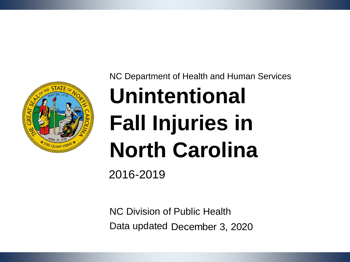

NC Department of Health and Human Services

## **Unintentional Fall Injuries in North Carolina**

2016-2019

NC Division of Public Health Data updated December 3, 2020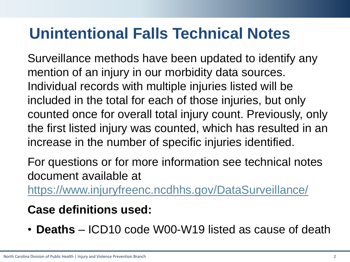#### **Unintentional Falls Technical Notes**

Surveillance methods have been updated to identify any mention of an injury in our morbidity data sources. Individual records with multiple injuries listed will be included in the total for each of those injuries, but only counted once for overall total injury count. Previously, only the first listed injury was counted, which has resulted in an increase in the number of specific injuries identified.

For questions or for more information see technical notes document available at

<https://www.injuryfreenc.ncdhhs.gov/DataSurveillance/>

#### **Case definitions used:**

• **Deaths** – ICD10 code W00-W19 listed as cause of death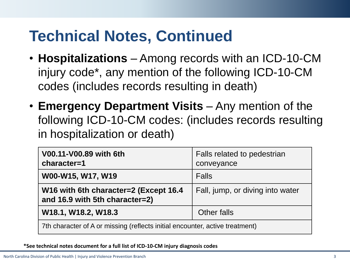#### **Technical Notes, Continued**

- **Hospitalizations** Among records with an ICD-10-CM injury code\*, any mention of the following ICD-10-CM codes (includes records resulting in death)
- **Emergency Department Visits**  Any mention of the following ICD-10-CM codes: (includes records resulting in hospitalization or death)

| V00.11-V00.89 with 6th<br>character=1                                        | Falls related to pedestrian<br>conveyance |  |  |  |
|------------------------------------------------------------------------------|-------------------------------------------|--|--|--|
| W00-W15, W17, W19                                                            | <b>Falls</b>                              |  |  |  |
| W16 with 6th character=2 (Except 16.4<br>and 16.9 with 5th character=2)      | Fall, jump, or diving into water          |  |  |  |
| W18.1, W18.2, W18.3                                                          | Other falls                               |  |  |  |
| 7th character of A or missing (reflects initial encounter, active treatment) |                                           |  |  |  |

#### **\*See technical notes document for a full list of ICD-10-CM injury diagnosis codes**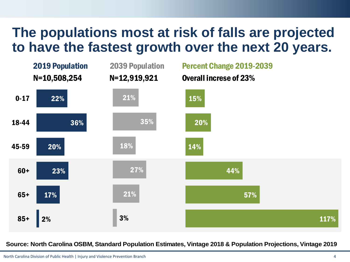#### **The populations most at risk of falls are projected to have the fastest growth over the next 20 years.**



**Source: North Carolina OSBM, Standard Population Estimates, Vintage 2018 & Population Projections, Vintage 2019**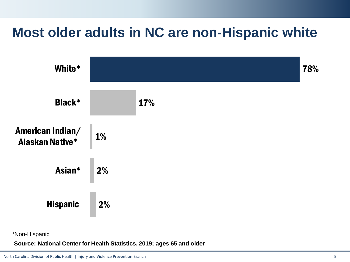#### **Most older adults in NC are non-Hispanic white**



\*Non-Hispanic

**Source: National Center for Health Statistics, 2019; ages 65 and older**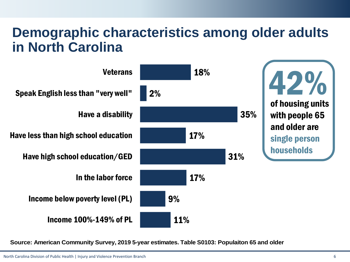#### **Demographic characteristics among older adults in North Carolina**



**Source: American Community Survey, 2019 5-year estimates. Table S0103: Populaiton 65 and older**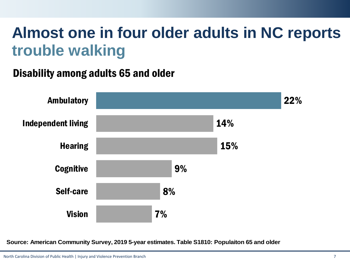#### **Almost one in four older adults in NC reports trouble walking**

#### Disability among adults 65 and older



**Source: American Community Survey, 2019 5-year estimates. Table S1810: Populaiton 65 and older**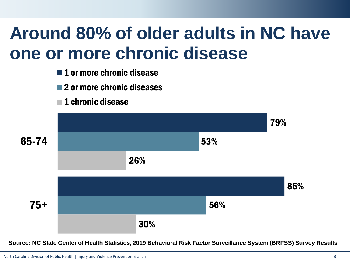## **Around 80% of older adults in NC have one or more chronic disease**

- **1** 0r more chronic disease
- 2 or more chronic diseases
- $\blacksquare$  1 chronic disease



**Source: NC State Center of Health Statistics, 2019 Behavioral Risk Factor Surveillance System (BRFSS) Survey Results**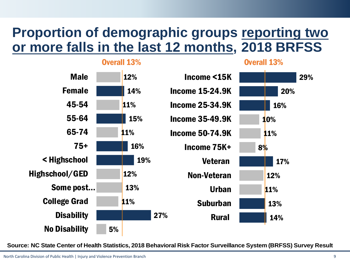#### **Proportion of demographic groups reporting two or more falls in the last 12 months, 2018 BRFSS**



**Source: NC State Center of Health Statistics, 2018 Behavioral Risk Factor Surveillance System (BRFSS) Survey Results**

29%

20%

16%

17%

14%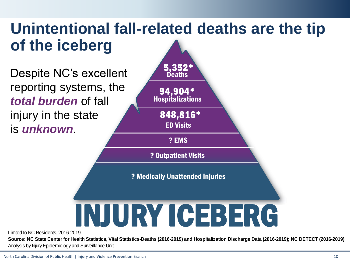#### **Unintentional fall-related deaths are the tip of the iceberg**

Despite NC's excellent reporting systems, the *total burden* of fall injury in the state is *unknown*.



Limted to NC Residents, 2016-2019

**Source: NC State Center for Health Statistics, Vital Statistics-Deaths (2016-2019) and Hospitalization Discharge Data (2016-2019); NC DETECT (2016-2019)**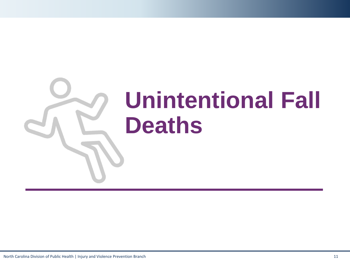# **Unintentional Fall Deaths**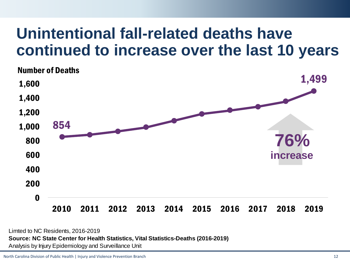#### **Unintentional fall-related deaths have continued to increase over the last 10 years**



Limted to NC Residents, 2016-2019 **Source: NC State Center for Health Statistics, Vital Statistics-Deaths (2016-2019)** Analysis by Injury Epidemiology and Surveillance Unit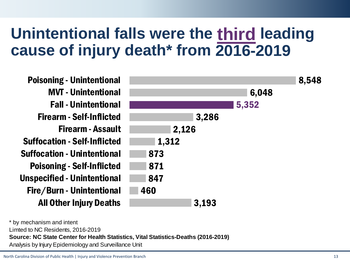#### Unintentional falls were the third leading **cause of injury death\* from 2016-2019**

| <b>Poisoning - Unintentional</b>    |       |       | 8,548 |
|-------------------------------------|-------|-------|-------|
| <b>MVT</b> - Unintentional          |       | 6,048 |       |
| <b>Fall - Unintentional</b>         |       | 5,352 |       |
| <b>Firearm - Self-Inflicted</b>     | 3,286 |       |       |
| <b>Firearm - Assault</b>            | 2,126 |       |       |
| <b>Suffocation - Self-Inflicted</b> | 1,312 |       |       |
| <b>Suffocation - Unintentional</b>  | 873   |       |       |
| <b>Poisoning - Self-Inflicted</b>   | 871   |       |       |
| <b>Unspecified - Unintentional</b>  | 847   |       |       |
| Fire/Burn - Unintentional           | 460   |       |       |
| <b>All Other Injury Deaths</b>      | 3,193 |       |       |

Limted to NC Residents, 2016-2019 **Source: NC State Center for Health Statistics, Vital Statistics-Deaths (2016-2019)** Analysis by Injury Epidemiology and Surveillance Unit \* by mechanism and intent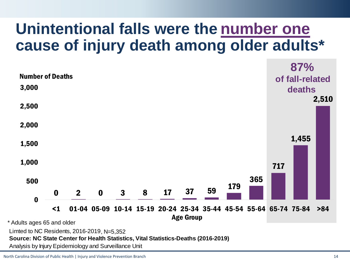#### Unintentional falls were the number one **cause of injury death among older adults\***

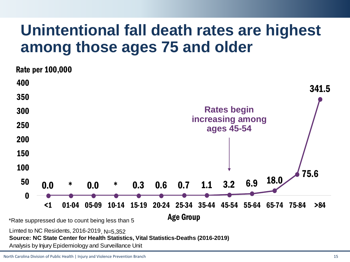#### **Unintentional fall death rates are highest among those ages 75 and older**

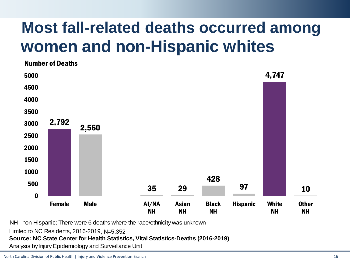### **Most fall-related deaths occurred among women and non-Hispanic whites**



NH - non-Hispanic; There were 6 deaths where the race/ethnicity was unknown

Limted to NC Residents, 2016-2019

**Source: NC State Center for Health Statistics, Vital Statistics-Deaths (2016-2019)** Limted to NC Residents, 2016-2019, N=5,352<br>**Source: NC State Center for Health Statistics, Vit**<br>Analysis by Injury Epidemiology and Surveillance Unit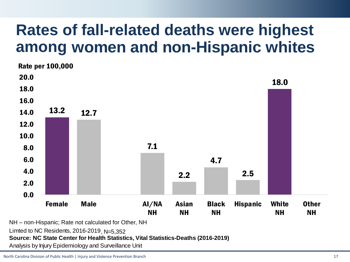#### **Rates of fall-related deaths were highest among women and non-Hispanic whites**



NH – non-Hispanic; Rate not calculated for Other, NH

Limted to NC Residents,  $2016-2019$ , N= $5.352$ 

**Source: NC State Center for Health Statistics, Vital Statistics-Deaths (2016-2019)**

Limted to NC Residents, 2016-2019<sub>,</sub> N=5,352<br>**Source: NC State Center for Health Statistics, Vit**<br>Analysis by Injury Epidemiology and Surveillance Unit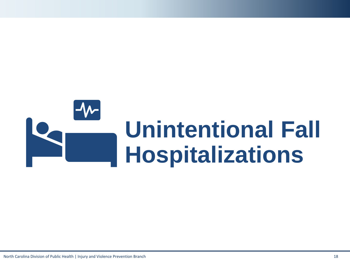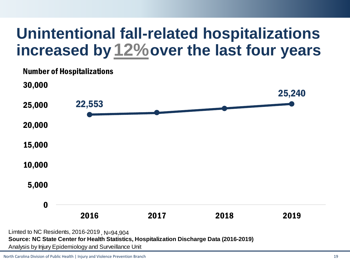#### **Unintentional fall-related hospitalizations**  increased by 12% over the last four years

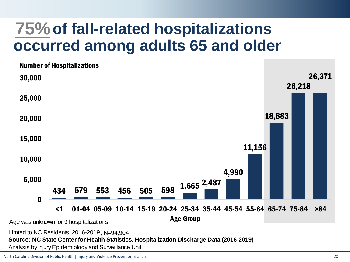#### **of fall-related hospitalizations 75% occurred among adults 65 and older**

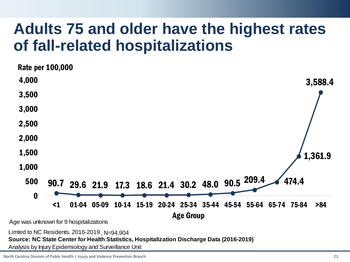#### **Adults 75 and older have the highest rates of fall-related hospitalizations**



Analysis by Injury Epidemiology and Surveillance Unit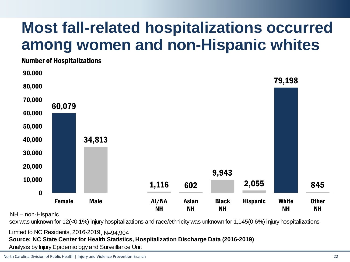#### **Most fall-related hospitalizations occurred among**



NH – non-Hispanic

sex was unknown for 12(<0.1%) injury hospitalizations and race/ethnicity was unknown for 1,145(0.6%) injury hospitalizations

Limted to NC Residents, 2016-2019, N=94,904

**Source: NC State Center for Health Statistics, Hospitalization Discharge Data (2016-2019)**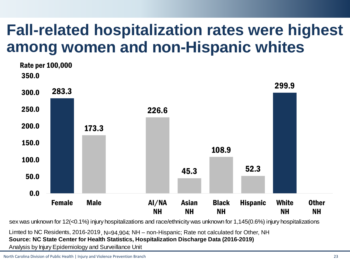#### **Fall-related hospitalization rates were highest**  among women and non-Hispanic whites



sex was unknown for 12(<0.1%) injury hospitalizations and race/ethnicity was unknown for 1,145(0.6%) injury hospitalizations

Limted to NC Residents, 2016-2019, N=94,904; NH - non-Hispanic; Rate not calculated for Other, NH

**Source: NC State Center for Health Statistics, Hospitalization Discharge Data (2016-2019)**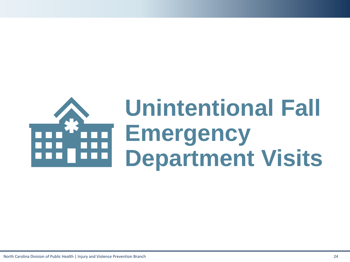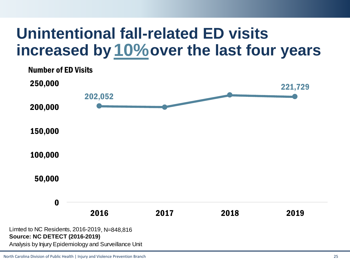#### **Unintentional fall-related ED visits**  increased by 10% over the last four years

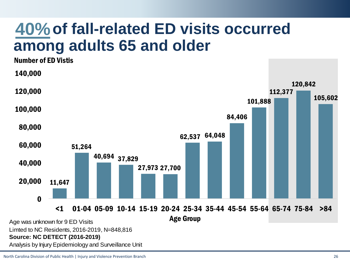#### **of fall-related ED visits occurred among adults 65 and older**

11,647 51,264 40,694 37,829 27,973 27,700 62,537 64,048 84,406 101,888 112,377 120,842 105,602 0 20,000 40,000 60,000 80,000 100,000 120,000 140,000 < 1 01-04 05-09 10-14 15-19 20-24 25-34 35-44 45-54 55-64 65-74 75-84 >84 Age Group Number of ED Vistis Limted to NC Residents, 2016-2019 **Source: NC DETECT (2016-2019) 40% of fall-relate:**<br> **among adults 65**<br>
Number of ED Visits<br>
140,000<br>
100,000<br>
80,000<br>
80,000<br>
80,000<br>
20,000<br>
20,000<br>
20,000<br>
11,647<br> **40,694** 37,829<br>
40,000<br>
20,000<br>
11,647<br> **40,694** 37,829<br>
40,000<br>
20,000<br>
11,647<br> **40**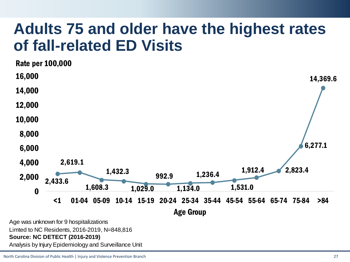#### **Adults 75 and older have the highest rates of fall-related ED Visits**



#### **Source: NC DETECT (2016-2019)**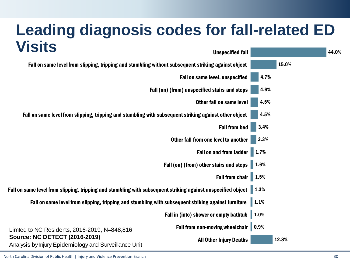| <b>Leading diagnosis codes for fall-related ED</b>                                                                                                                                                                 |                                        |                     |       |       |
|--------------------------------------------------------------------------------------------------------------------------------------------------------------------------------------------------------------------|----------------------------------------|---------------------|-------|-------|
| <b>Visits</b>                                                                                                                                                                                                      | <b>Unspecified fall</b>                |                     |       | 44.0% |
| Fall on same level from slipping, tripping and stumbling without subsequent striking against object                                                                                                                |                                        |                     | 15.0% |       |
|                                                                                                                                                                                                                    | Fall on same level, unspecified        | 4.7%                |       |       |
| Fall (on) (from) unspecified stairs and steps<br><b>Other fall on same level</b><br>Fall on same level from slipping, tripping and stumbling with subsequent striking against other object<br><b>Fall from bed</b> |                                        | 4.6%                |       |       |
|                                                                                                                                                                                                                    |                                        | 4.5%                |       |       |
|                                                                                                                                                                                                                    |                                        | 4.5%                |       |       |
|                                                                                                                                                                                                                    |                                        | 3.4%                |       |       |
|                                                                                                                                                                                                                    | Other fall from one level to another   | 3.3%                |       |       |
|                                                                                                                                                                                                                    | <b>Fall on and from ladder</b>         | 1.7%                |       |       |
| Fall (on) (from) other stairs and steps<br><b>Fall from chair</b>                                                                                                                                                  |                                        | 1.6%                |       |       |
|                                                                                                                                                                                                                    |                                        | 1.5%                |       |       |
| Fall on same level from slipping, tripping and stumbling with subsequent striking against unspecified object                                                                                                       |                                        | $\blacksquare$ 1.3% |       |       |
| Fall on same level from slipping, tripping and stumbling with subsequent striking against furniture                                                                                                                |                                        | 1.1%                |       |       |
|                                                                                                                                                                                                                    | Fall in (into) shower or empty bathtub | 1.0%                |       |       |
| Limted to NC Residents, 2016-2019, N=848,816<br><b>Source: NC DETECT (2016-2019)</b>                                                                                                                               | Fall from non-moving wheelchair        | 0.9%                |       |       |
| Analysis by Injury Epidemiology and Surveillance Unit                                                                                                                                                              | <b>All Other Injury Deaths</b>         |                     | 12.8% |       |

North Carolina Division of Public Health | Injury and Violence Prevention Branch 30 and 30 and 30 and 30 and 30